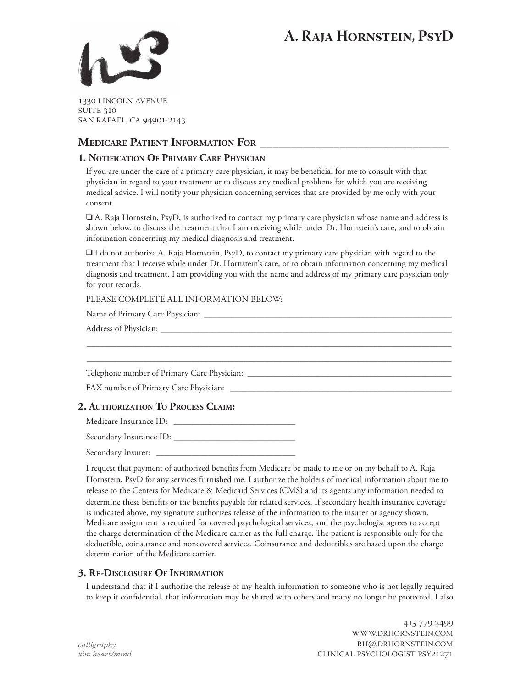# **A. Raja Hornstein, PsyD**



1330 lincoln avenue **SUITE 310** san rafael, ca 94901-2143

# **Medicare Patient Information For \_\_\_\_\_\_\_\_\_\_\_\_\_\_\_\_\_\_\_\_\_\_\_\_\_\_\_\_\_\_\_**

# **1. Notification Of Primary Care Physician**

If you are under the care of a primary care physician, it may be beneficial for me to consult with that physician in regard to your treatment or to discuss any medical problems for which you are receiving medical advice. I will notify your physician concerning services that are provided by me only with your consent.

❏ A. Raja Hornstein, PsyD, is authorized to contact my primary care physician whose name and address is shown below, to discuss the treatment that I am receiving while under Dr. Hornstein's care, and to obtain information concerning my medical diagnosis and treatment.

❏ I do not authorize A. Raja Hornstein, PsyD, to contact my primary care physician with regard to the treatment that I receive while under Dr. Hornstein's care, or to obtain information concerning my medical diagnosis and treatment. I am providing you with the name and address of my primary care physician only for your records.

\_\_\_\_\_\_\_\_\_\_\_\_\_\_\_\_\_\_\_\_\_\_\_\_\_\_\_\_\_\_\_\_\_\_\_\_\_\_\_\_\_\_\_\_\_\_\_\_\_\_\_\_\_\_\_\_\_\_\_\_\_\_\_\_\_\_\_\_\_\_\_\_\_\_\_\_\_\_\_\_\_\_\_\_ \_\_\_\_\_\_\_\_\_\_\_\_\_\_\_\_\_\_\_\_\_\_\_\_\_\_\_\_\_\_\_\_\_\_\_\_\_\_\_\_\_\_\_\_\_\_\_\_\_\_\_\_\_\_\_\_\_\_\_\_\_\_\_\_\_\_\_\_\_\_\_\_\_\_\_\_\_\_\_\_\_\_\_\_

#### PLEASE COMPLETE ALL INFORMATION BELOW-

Name of Primary Care Physician: \_\_\_\_\_\_\_\_\_\_\_\_\_\_\_\_\_\_\_\_\_\_\_\_\_\_\_\_\_\_\_\_\_\_\_\_\_\_\_\_\_\_\_\_\_\_\_\_\_\_\_\_\_\_\_\_\_

Address of Physician: \_\_\_\_\_\_\_\_\_\_\_\_\_\_\_\_\_\_\_\_\_\_\_\_\_\_\_\_\_\_\_\_\_\_\_\_\_\_\_\_\_\_\_\_\_\_\_\_\_\_\_\_\_\_\_\_\_\_\_\_\_\_\_\_\_\_\_

Telephone number of Primary Care Physician: \_\_\_\_\_\_\_\_\_\_\_\_\_\_\_\_\_\_\_\_\_\_\_\_\_\_\_\_\_\_\_\_\_\_\_\_\_\_\_\_\_\_\_\_\_\_\_

FAX number of Primary Care Physician: \_\_\_\_\_\_\_\_\_\_\_\_\_\_\_\_\_\_\_\_\_\_\_\_\_\_\_\_\_\_\_\_\_\_\_\_\_\_\_\_\_\_\_\_\_\_\_\_\_\_\_

# **2. Authorization To Process Claim:**

Medicare Insurance ID: \_\_\_\_\_\_\_\_\_\_\_\_\_\_\_\_\_\_\_\_\_\_\_\_\_\_\_\_

Secondary Insurance ID: \_\_\_\_\_\_\_\_\_\_\_\_\_\_\_\_\_\_\_\_\_\_\_\_\_\_\_\_

Secondary Insurer: \_\_\_\_\_\_\_\_\_\_\_\_\_\_\_\_\_\_\_\_\_\_\_\_\_\_\_\_\_\_\_\_

I request that payment of authorized benefits from Medicare be made to me or on my behalf to A. Raja Hornstein, PsyD for any services furnished me. I authorize the holders of medical information about me to release to the Centers for Medicare & Medicaid Services (CMS) and its agents any information needed to determine these benefits or the benefits payable for related services. If secondary health insurance coverage is indicated above, my signature authorizes release of the information to the insurer or agency shown. Medicare assignment is required for covered psychological services, and the psychologist agrees to accept the charge determination of the Medicare carrier as the full charge. The patient is responsible only for the deductible, coinsurance and noncovered services. Coinsurance and deductibles are based upon the charge determination of the Medicare carrier.

## **3. Re-Disclosure Of Information**

I understand that if I authorize the release of my health information to someone who is not legally required to keep it confidential, that information may be shared with others and many no longer be protected. I also